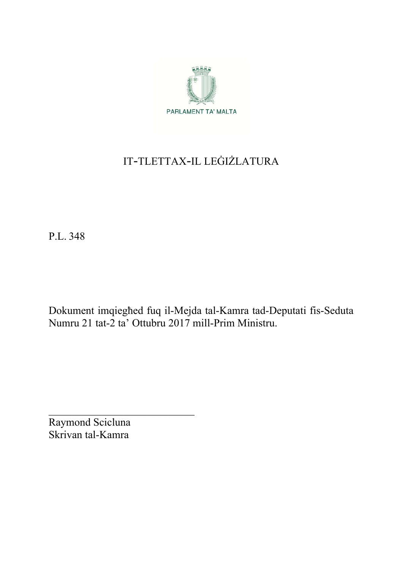

# IT-TLETTAX-IL LEĠIŻLATURA

P.L. 348

Dokument imqiegħed fuq il-Mejda tal-Kamra tad-Deputati fis-Seduta Numru 21 tat-2 ta' Ottubru 2017 mill-Prim Ministru.

Raymond Scicluna Skrivan tal-Kamra

 $\mathcal{L}_\text{max}$  , where  $\mathcal{L}_\text{max}$  , we have the set of  $\mathcal{L}_\text{max}$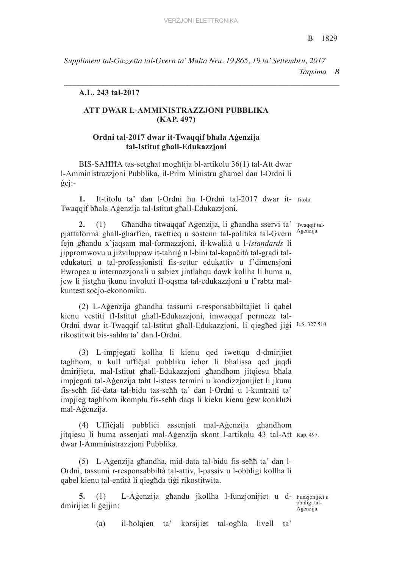*Suppliment tal-Gazzetta tal-Gvern ta' Malta Nru. 19,865, 19 ta' Settembru, 2017 Taqsima B* 

*\_\_\_\_\_\_\_\_\_\_\_\_\_\_\_\_\_\_\_\_\_\_\_\_\_\_\_\_\_\_\_\_\_\_\_\_\_\_\_\_\_\_\_\_\_\_\_\_\_\_\_\_\_\_\_\_\_\_\_\_\_\_\_\_\_\_\_\_*

### **A.L. 243 tal-2017**

# **ATT DWAR L-AMMINISTRAZZJONI PUBBLIKA (KAP. 497)**

## **Ordni tal-2017 dwar it-Twaqqif bħala Aġenzija tal-Istitut għall-Edukazzjoni**

BIS-SAĦĦA tas-setgħat mogħtija bl-artikolu 36(1) tal-Att dwar l-Amministrazzjoni Pubblika, il-Prim Ministru għamel dan l-Ordni li ġej:-

**1.** It-titolu ta' dan l-Ordni hu l-Ordni tal-2017 dwar it- Titolu. Twaqqif bħala Aġenzija tal-Istitut għall-Edukazzjoni.

2. (1) Ghandha titwaqqaf Aġenzija, li ghandha sservi ta' Twaqqiftalpjattaforma għall-għarfien, twettieq u sostenn tal-politika tal-Gvern Aġenzija. fejn għandu x'jaqsam mal-formazzjoni, il-kwalità u l-*istandards* li jippromwovu u jiżviluppaw it-taħriġ u l-bini tal-kapaċità tal-gradi taledukaturi u tal-professjonisti fis-settur edukattiv u f'dimensjoni Ewropea u internazzjonali u sabiex jintlaħqu dawk kollha li huma u, jew li jistgħu jkunu involuti fl-oqsma tal-edukazzjoni u f'rabta malkuntest soċjo-ekonomiku.

Ordni dwar it-Twaqqif tal-Istitut għall-Edukazzjoni, li qiegħed jiġi L.S. 327.510. (2) L-Aġenzija għandha tassumi r-responsabbiltajiet li qabel kienu vestiti fl-Istitut għall-Edukazzjoni, imwaqqaf permezz talrikostitwit bis-saħħa ta' dan l-Ordni.

(3) L-impjegati kollha li kienu qed iwettqu d-dmirijiet tagħhom, u kull uffiċjal pubbliku ieħor li bħalissa qed jaqdi dmirijietu, mal-Istitut għall-Edukazzjoni għandhom jitqiesu bħala impjegati tal-Aġenzija taħt l-istess termini u kondizzjonijiet li jkunu fis-seħħ fid-data tal-bidu tas-seħħ ta' dan l-Ordni u l-kuntratti ta' impjieg tagħhom ikomplu fis-seħħ daqs li kieku kienu ġew konklużi mal-Aġenzija.

jitqiesu li huma assenjati mal-Aģenzija skont l-artikolu 43 tal-Att Kap. 497. (4) Uffiċjali pubbliċi assenjati mal-Aġenzija għandhom dwar l-Amministrazzjoni Pubblika.

(5) L-Aġenzija għandha, mid-data tal-bidu fis-seħħ ta' dan l-Ordni, tassumi r-responsabbiltà tal-attiv, l-passiv u l-obbligi kollha li qabel kienu tal-entità li qiegħda tiġi rikostitwita.

5. (1) L-Aġenzija għandu jkollha l-funzjonijiet u d- Funzjonijiet u dmirijiet li ġejjin:

obbligi tal-Aġenzija.

(a) il-ħolqien ta' korsijiet tal-ogħla livell ta'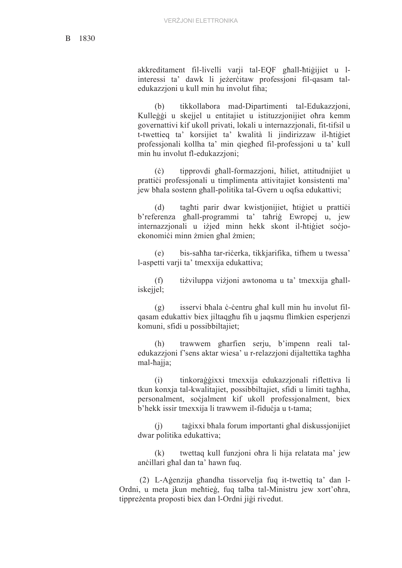akkreditament fil-livelli varji tal-EQF għall-ħtiġijiet u linteressi ta' dawk li jeżerċitaw professjoni fil-qasam taledukazzjoni u kull min hu involut fiha;

(b) tikkollabora mad-Dipartimenti tal-Edukazzjoni, Kulleġġi u skejjel u entitajiet u istituzzjonijiet oħra kemm governattivi kif ukoll privati, lokali u internazzjonali, fit-tifsil u t-twettieq ta' korsijiet ta' kwalità li jindirizzaw il-ħtiġiet professjonali kollha ta' min qiegħed fil-professjoni u ta' kull min hu involut fl-edukazzjoni;

(ċ) tipprovdi għall-formazzjoni, ħiliet, attitudnijiet u prattiċi professjonali u timplimenta attivitajiet konsistenti ma' jew bħala sostenn għall-politika tal-Gvern u oqfsa edukattivi;

(d) tagħti parir dwar kwistjonijiet, ħtiġiet u prattiċi b'referenza għall-programmi ta' taħriġ Ewropej u, jew internazzjonali u iżjed minn hekk skont il-ħtiġiet soċjoekonomici minn żmien għal żmien;

(e) bis-saħħa tar-riċerka, tikkjarifika, tifhem u twessa' l-aspetti varji ta' tmexxija edukattiva;

(f) tiżviluppa viżjoni awtonoma u ta' tmexxija għalliskejjel;

(g) isservi bħala ċ-ċentru għal kull min hu involut filqasam edukattiv biex jiltaqgħu fih u jaqsmu flimkien esperjenzi komuni, sfidi u possibbiltajiet;

(h) trawwem għarfien serju, b'impenn reali taledukazzjoni f'sens aktar wiesa' u r-relazzjoni dijaltettika tagħha mal-ħajja;

(i) tinkoraġġixxi tmexxija edukazzjonali riflettiva li tkun konxja tal-kwalitajiet, possibbiltajiet, sfidi u limiti tagħha, personalment, soċjalment kif ukoll professjonalment, biex b'hekk issir tmexxija li trawwem il-fiduċja u t-tama;

(j) taġixxi bħala forum importanti għal diskussjonijiet dwar politika edukattiva;

(k) twettaq kull funzjoni oħra li hija relatata ma' jew anċillari għal dan ta' hawn fuq.

 (2) L-Aġenzija għandha tissorvelja fuq it-twettiq ta' dan l-Ordni, u meta jkun meħtieġ, fuq talba tal-Ministru jew xort'oħra, tippreżenta proposti biex dan l-Ordni jiġi rivedut.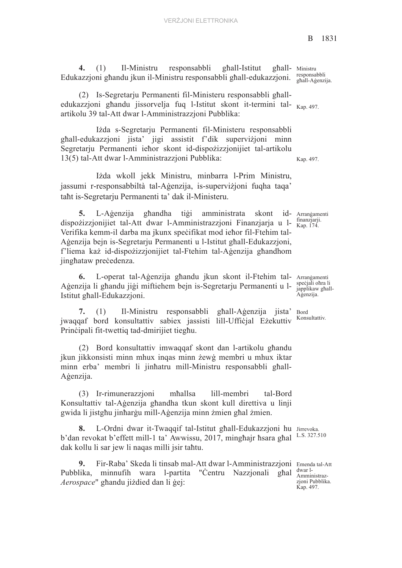ghall- Ministru **4.** (1) Il-Ministru responsabbli għall-Istitut għall-Edukazzjoni għandu jkun il-Ministru responsabbli għall-edukazzjoni.

edukazzjoni għandu jissorvelja fuq l-Istitut skont it-termini tal- <sub>Kap. 497.</sub> (2) Is-Segretarju Permanenti fil-Ministeru responsabbli għallartikolu 39 tal-Att dwar l-Amministrazzjoni Pubblika:

Iżda s-Segretarju Permanenti fil-Ministeru responsabbli għall-edukazzjoni jista' jigi assistit f'dik superviżjoni minn Segretarju Permanenti ieħor skont id-dispożizzjonijiet tal-artikolu 13(5) tal-Att dwar l-Amministrazzjoni Pubblika:

Iżda wkoll jekk Ministru, minbarra l-Prim Ministru, jassumi r-responsabbiltà tal-Aġenzija, is-superviżjoni fuqha taqa' taħt is-Segretarju Permanenti ta' dak il-Ministeru.

**5.** L-Agenzija ghandha tigi amministrata skont dispożizzjonijiet tal-Att dwar l-Amministrazzjoni Finanzjarja u l-Verifika kemm-il darba ma jkunx speċifikat mod ieħor fil-Ftehim tal-Aġenzija bejn is-Segretarju Permanenti u l-Istitut għall-Edukazzjoni, f'liema każ id-dispożizzjonijiet tal-Ftehim tal-Aġenzija għandhom jinghataw preċedenza.

6. L-operat tal-Aġenzija għandu jkun skont il-Ftehim tal- Arrangamenti Aġenzija li għandu jiġi miftiehem bejn is-Segretarju Permanenti u l-Istitut għall-Edukazzjoni.

Bord **7.** (1) Il-Ministru responsabbli għall-Aġenzija jista' jwaqqaf bord konsultattiv sabiex jassisti lill-Uffiċjal Eżekuttiv Prinċipali fit-twettiq tad-dmirijiet tiegħu.

(2) Bord konsultattiv imwaqqaf skont dan l-artikolu għandu jkun jikkonsisti minn mhux inqas minn żewġ membri u mhux iktar minn erba' membri li jinħatru mill-Ministru responsabbli għall-Aġenzija.

(3) Ir-rimunerazzjoni mħallsa lill-membri tal-Bord Konsultattiv tal-Aġenzija għandha tkun skont kull direttiva u linji gwida li jistgħu jinħarġu mill-Aġenzija minn żmien għal żmien.

8. L-Ordni dwar it-Twaqqif tal-Istitut ghall-Edukazzjoni hu Jirrevoka. b'dan revokat b'effett mill-1 ta' Awwissu, 2017, minghajr hsara ghal <sup>L.S. 327.510</sup> dak kollu li sar jew li naqas milli jsir taħtu.

9. Fir-Raba' Skeda li tinsab mal-Att dwar l-Amministrazzjoni Emenda tal-Att Pubblika, minnufih wara l-partita "Ċentru Nazzjonali għal *Aerospace*" għandu jiżdied dan li ġej:

responsabbli għall-Aġenzija.

Kap. 497.

Arranġamenti finanzjarji. Kap. 174.

> speċjali ohra li japplikaw għall-Aġenzija.

Konsultattiv.

dwar l-Amministrazzjoni Pubblika. Kap. 497.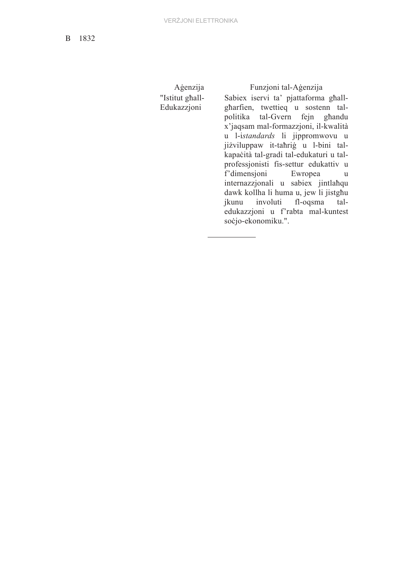B 1832

"Istitut għall-Edukazzjoni

Aġenzija Funzjoni tal-Aġenzija Sabiex iservi ta' pjattaforma għallgharfien, twettieq u sostenn talpolitika tal-Gvern fejn għandu x'jaqsam mal-formazzjoni, il-kwalità u l-i*standards* li jippromwovu u jiżviluppaw it-taħriġ u l-bini talkapaċità tal-gradi tal-edukaturi u talprofessjonisti fis-settur edukattiv u f'dimensjoni Ewropea u internazzjonali u sabiex jintlaħqu dawk kollha li huma u, jew li jistgħu jkunu involuti fl-oqsma taledukazzjoni u f'rabta mal-kuntest soċjo-ekonomiku.".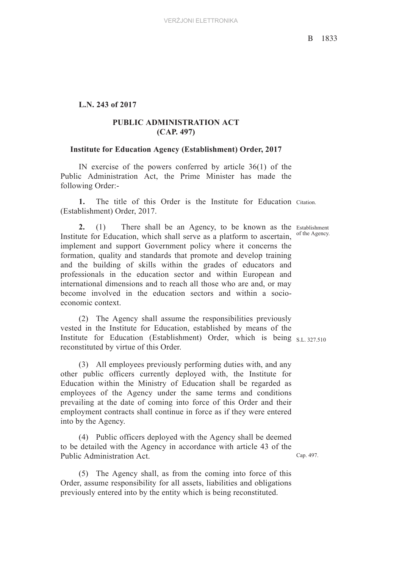### **L.N. 243 of 2017**

# **PUBLIC ADMINISTRATION ACT (CAP. 497)**

#### **Institute for Education Agency (Establishment) Order, 2017**

IN exercise of the powers conferred by article 36(1) of the Public Administration Act, the Prime Minister has made the following Order:-

**1.** The title of this Order is the Institute for Education Citation. (Establishment) Order, 2017.

2. (1) There shall be an Agency, to be known as the Establishment Institute for Education, which shall serve as a platform to ascertain, of the Agency. implement and support Government policy where it concerns the formation, quality and standards that promote and develop training and the building of skills within the grades of educators and professionals in the education sector and within European and international dimensions and to reach all those who are and, or may become involved in the education sectors and within a socioeconomic context.

Institute for Education (Establishment) Order, which is being S.L. 327.510 (2) The Agency shall assume the responsibilities previously vested in the Institute for Education, established by means of the reconstituted by virtue of this Order.

(3) All employees previously performing duties with, and any other public officers currently deployed with, the Institute for Education within the Ministry of Education shall be regarded as employees of the Agency under the same terms and conditions prevailing at the date of coming into force of this Order and their employment contracts shall continue in force as if they were entered into by the Agency.

(4) Public officers deployed with the Agency shall be deemed to be detailed with the Agency in accordance with article 43 of the Public Administration Act.

(5) The Agency shall, as from the coming into force of this Order, assume responsibility for all assets, liabilities and obligations previously entered into by the entity which is being reconstituted.

Cap. 497.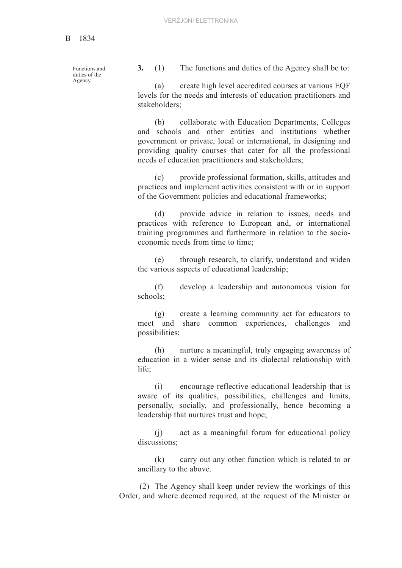Functions and duties of the Agency.

**3.** (1) The functions and duties of the Agency shall be to:

(a) create high level accredited courses at various EQF levels for the needs and interests of education practitioners and stakeholders;

(b) collaborate with Education Departments, Colleges and schools and other entities and institutions whether government or private, local or international, in designing and providing quality courses that cater for all the professional needs of education practitioners and stakeholders;

(c) provide professional formation, skills, attitudes and practices and implement activities consistent with or in support of the Government policies and educational frameworks;

(d) provide advice in relation to issues, needs and practices with reference to European and, or international training programmes and furthermore in relation to the socioeconomic needs from time to time;

(e) through research, to clarify, understand and widen the various aspects of educational leadership;

(f) develop a leadership and autonomous vision for schools;

(g) create a learning community act for educators to meet and share common experiences, challenges and possibilities;

(h) nurture a meaningful, truly engaging awareness of education in a wider sense and its dialectal relationship with life;

(i) encourage reflective educational leadership that is aware of its qualities, possibilities, challenges and limits, personally, socially, and professionally, hence becoming a leadership that nurtures trust and hope;

(j) act as a meaningful forum for educational policy discussions;

(k) carry out any other function which is related to or ancillary to the above.

 (2) The Agency shall keep under review the workings of this Order, and where deemed required, at the request of the Minister or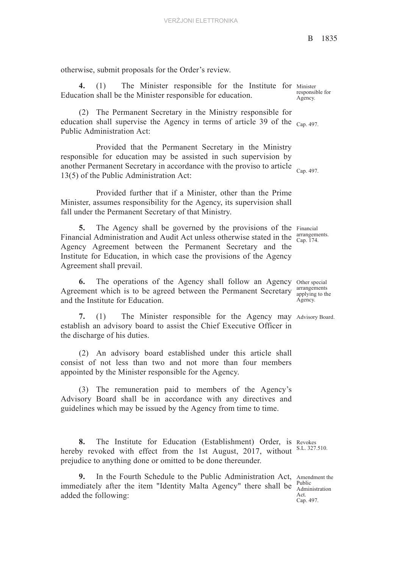otherwise, submit proposals for the Order's review.

4. (1) The Minister responsible for the Institute for Minister Education shall be the Minister responsible for education.

education shall supervise the Agency in terms of article 39 of the  $_{Cap. 497.}$ (2) The Permanent Secretary in the Ministry responsible for Public Administration Act:

another Permanent Secretary in accordance with the proviso to article  $_{Cap. 497.}$ Provided that the Permanent Secretary in the Ministry responsible for education may be assisted in such supervision by 13(5) of the Public Administration Act:

Provided further that if a Minister, other than the Prime Minister, assumes responsibility for the Agency, its supervision shall fall under the Permanent Secretary of that Ministry.

5. The Agency shall be governed by the provisions of the Financial Financial Administration and Audit Act unless otherwise stated in the  $\frac{\text{arrangement}}{\text{Cap. 174}}$ Agency Agreement between the Permanent Secretary and the Institute for Education, in which case the provisions of the Agency Agreement shall prevail.

6. The operations of the Agency shall follow an Agency other special Agreement which is to be agreed between the Permanent Secretary  $\frac{\text{arrangements}}{\text{applying to the}}$ and the Institute for Education.

**7.** (1) The Minister responsible for the Agency may Advisory Board. establish an advisory board to assist the Chief Executive Officer in the discharge of his duties.

(2) An advisory board established under this article shall consist of not less than two and not more than four members appointed by the Minister responsible for the Agency.

(3) The remuneration paid to members of the Agency's Advisory Board shall be in accordance with any directives and guidelines which may be issued by the Agency from time to time.

8. The Institute for Education (Establishment) Order, is Revokes S.L. 327.510. hereby revoked with effect from the 1st August, 2017, without prejudice to anything done or omitted to be done thereunder.

**9.** In the Fourth Schedule to the Public Administration Act, Amendment the immediately after the item "Identity Malta Agency" there shall be  $\frac{P_{\text{t}}}{\text{Administration}}$ added the following:

responsible for Agency.

arrangements.

arrangements Agency.

Public Act. Cap. 497.